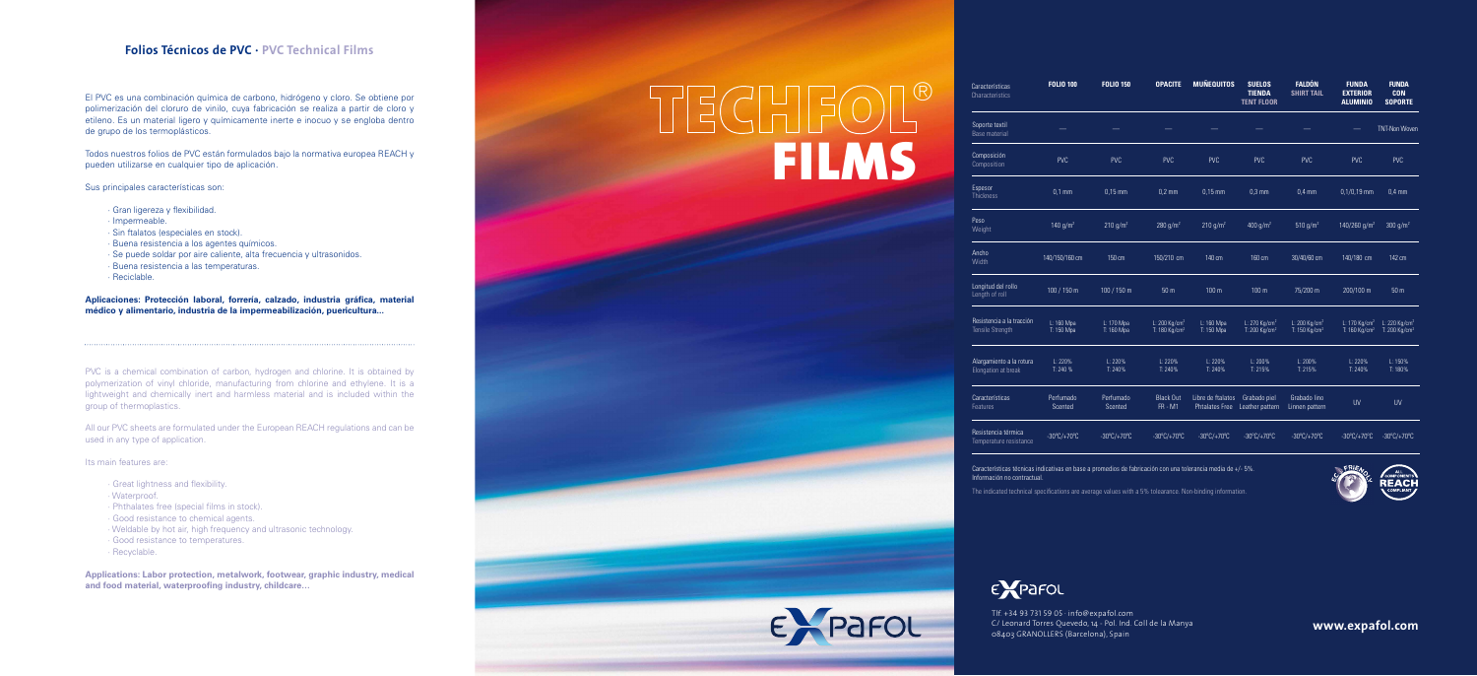Tlf. +34 93 731 59 05 · info@expafol.com C/ Leonard Torres Quevedo, 14 - Pol. Ind. Coll de la Manya 08403 GRANOLLERS (Barcelona), Spain **www.expafol.com**

Características técnicas indicativas en base a promedios de fabricación con una tolerancia media de +/- 5%. Información no contractual.



The indicated technical specifications are average values with a 5% tolearance. Non-binding information.





| Características<br>Characteristics              | <b>FOLIO 100</b>                 | <b>FOLIO 150</b>                 | <b>OPACITE</b>                                           | <b>MUÑEQUITOS</b>                          | <b>SUELOS</b><br><b>TIENDA</b><br><b>TENT FLOOR</b>    | <b>FALDÓN</b><br><b>SHIRT TAIL</b>                     | <b>FUNDA</b><br><b>EXTERIOR</b><br><b>ALUMINIO</b>     | <b>FUNDA</b><br><b>CON</b><br><b>SOPORTE</b>           |
|-------------------------------------------------|----------------------------------|----------------------------------|----------------------------------------------------------|--------------------------------------------|--------------------------------------------------------|--------------------------------------------------------|--------------------------------------------------------|--------------------------------------------------------|
| Soporte textil<br><b>Base material</b>          |                                  |                                  |                                                          |                                            |                                                        |                                                        |                                                        | <b>TNT-Non Woven</b>                                   |
| Composición<br>Composition                      | <b>PVC</b>                       | <b>PVC</b>                       | <b>PVC</b>                                               | <b>PVC</b>                                 | <b>PVC</b>                                             | <b>PVC</b>                                             | <b>PVC</b>                                             | <b>PVC</b>                                             |
| Espesor<br><b>Thickness</b>                     | $0.1$ mm                         | $0,15$ mm                        | $0,2 \text{ mm}$                                         | $0,15$ mm                                  | $0,3$ mm                                               | $0,4$ mm                                               | $0,1/0,19$ mm                                          | $0.4$ mm                                               |
| Peso<br>Weight                                  | 140 $g/m^2$                      | 210 $g/m^2$                      | 280 $g/m^2$                                              | 210 $g/m^2$                                | 400 g/m <sup>2</sup>                                   | 510 g/m <sup>2</sup>                                   | 140/260 g/m <sup>2</sup>                               | 300 $g/m^2$                                            |
| Ancho<br>Width                                  | 140/150/160 cm                   | 150 cm                           | 150/210 cm                                               | 140 cm                                     | 160 cm                                                 | 30/40/60 cm                                            | 140/180 cm                                             | 142 cm                                                 |
| Longitud del rollo<br>Length of roll            | 100 / 150 m                      | 100 / 150 m                      | 50 <sub>m</sub>                                          | 100 m                                      | 100 <sub>m</sub>                                       | 75/200 m                                               | 200/100 m                                              | 50 <sub>m</sub>                                        |
| Resistencia a la tracción<br>Tensile Strength   | L: 160 Mpa<br>T: 150 Mpa         | L: 170 Mpa<br>T: 160 Mpa         | L: $200$ Kg/cm <sup>2</sup><br>T: 180 Kg/cm <sup>2</sup> | L: 160 Mpa<br>T: 150 Mpa                   | L: 270 Kg/cm <sup>2</sup><br>T: 200 Kg/cm <sup>2</sup> | L: 200 Kg/cm <sup>2</sup><br>T: 150 Kg/cm <sup>2</sup> | L: 170 Kg/cm <sup>2</sup><br>T: 160 Kg/cm <sup>2</sup> | L: 220 Kg/cm <sup>2</sup><br>T: 200 Kg/cm <sup>2</sup> |
| Alargamiento a la rotura<br>Elongation at break | L: 220%<br>T: 240 %              | L: 220%<br>T: 240%               | L: 220%<br>T: 240%                                       | L: 220%<br>T: 240%                         | $L: 200\%$<br>T: 215%                                  | L: 200%<br>T: 215%                                     | L: 220%<br>T: 240%                                     | L: 150%<br>T: 180%                                     |
| Características<br><b>Features</b>              | Perfumado<br>Scented             | Perfumado<br>Scented             | <b>Black Out</b><br><b>FR - M1</b>                       | Libre de ftalatos<br><b>Phtalates Free</b> | Grabado piel<br>Leather pattern                        | Grabado lino<br>Linnen pattern                         | <b>UV</b>                                              | <b>UV</b>                                              |
| Resistencia térmica<br>Temperature resistance   | $-30^{\circ}$ C/+70 $^{\circ}$ C | $-30^{\circ}$ C/+70 $^{\circ}$ C | $-30^{\circ}$ C/+70 $^{\circ}$ C                         | $-30^{\circ}$ C/+70 $^{\circ}$ C           | $-30^{\circ}$ C/+70 $^{\circ}$ C                       | $-30^{\circ}$ C/+70 $^{\circ}$ C                       | $-30^{\circ}$ C/+70 $^{\circ}$ C                       | $-30^{\circ}$ C/+70 $^{\circ}$ C                       |

PVC is a chemical combination of carbon, hydrogen and chlorine. It is obtained by polymerization of vinyl chloride, manufacturing from chlorine and ethylene. It is a lightweight and chemically inert and harmless material and is included within the group of thermoplastics.

El PVC es una combinación química de carbono, hidrógeno y cloro. Se obtiene por polimerización del cloruro de vinilo, cuya fabricación se realiza a partir de cloro y etileno. Es un material ligero y químicamente inerte e inocuo y se engloba dentro de grupo de los termoplásticos.

Todos nuestros folios de PVC están formulados bajo la normativa europea REACH y pueden utilizarse en cualquier tipo de aplicación.

Sus principales características son:

- · Gran ligereza y flexibilidad.
- · Impermeable.
- · Sin ftalatos (especiales en stock).
- · Buena resistencia a los agentes químicos.
- · Se puede soldar por aire caliente, alta frecuencia y ultrasonidos.
- · Buena resistencia a las temperaturas.
- · Reciclable.

**Aplicaciones: Protección laboral, forrería, calzado, industria gráfica, material médico y alimentario, industria de la impermeabilización, puericultura...**

All our PVC sheets are formulated under the European REACH regulations and can be used in any type of application.

Its main features are:

- · Great lightness and flexibility.
- · Waterproof.
- · Phthalates free (special films in stock).
- · Good resistance to chemical agents.
- · Weldable by hot air, high frequency and ultrasonic technology.
- · Good resistance to temperatures.
- · Recyclable.

**Applications: Labor protection, metalwork, footwear, graphic industry, medical and food material, waterproofing industry, childcare…**

# TECHFOL®

# **Folios Técnicos de PVC · PVC Technical Films**